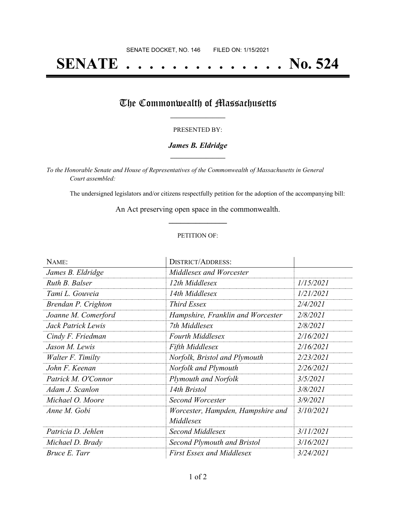# **SENATE . . . . . . . . . . . . . . No. 524**

## The Commonwealth of Massachusetts

#### PRESENTED BY:

#### *James B. Eldridge* **\_\_\_\_\_\_\_\_\_\_\_\_\_\_\_\_\_**

*To the Honorable Senate and House of Representatives of the Commonwealth of Massachusetts in General Court assembled:*

The undersigned legislators and/or citizens respectfully petition for the adoption of the accompanying bill:

An Act preserving open space in the commonwealth. **\_\_\_\_\_\_\_\_\_\_\_\_\_\_\_**

#### PETITION OF:

| NAME:               | <b>DISTRICT/ADDRESS:</b>           |           |
|---------------------|------------------------------------|-----------|
| James B. Eldridge   | Middlesex and Worcester            |           |
| Ruth B. Balser      | 12th Middlesex                     | 1/15/2021 |
| Tami L. Gouveia     | 14th Middlesex                     | 1/21/2021 |
| Brendan P. Crighton | Third Essex                        | 2/4/2021  |
| Joanne M. Comerford | Hampshire, Franklin and Worcester  | 2/8/2021  |
| Jack Patrick Lewis  | 7th Middlesex                      | 2/8/2021  |
| Cindy F. Friedman   | <b>Fourth Middlesex</b>            | 2/16/2021 |
| Jason M. Lewis      | <b>Fifth Middlesex</b>             | 2/16/2021 |
| Walter F. Timilty   | Norfolk, Bristol and Plymouth      | 2/23/2021 |
| John F. Keenan      | Norfolk and Plymouth               | 2/26/2021 |
| Patrick M. O'Connor | <b>Plymouth and Norfolk</b>        | 3/5/2021  |
| Adam J. Scanlon     | 14th Bristol                       | 3/8/2021  |
| Michael O. Moore    | Second Worcester                   | 3/9/2021  |
| Anne M. Gobi        | Worcester, Hampden, Hampshire and  | 3/10/2021 |
|                     | Middlesex                          |           |
| Patricia D. Jehlen  | Second Middlesex                   | 3/11/2021 |
| Michael D. Brady    | <b>Second Plymouth and Bristol</b> | 3/16/2021 |
| Bruce E. Tarr       | <b>First Essex and Middlesex</b>   | 3/24/2021 |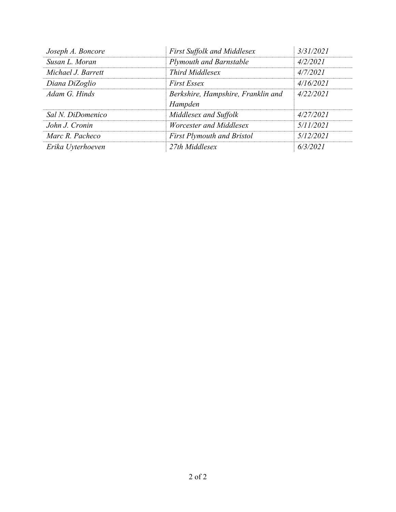| Joseph A. Boncore  | <b>First Suffolk and Middlesex</b>            | 3/31/2021 |
|--------------------|-----------------------------------------------|-----------|
| Susan L. Moran     | Plymouth and Barnstable                       | 4/2/2021  |
| Michael J. Barrett | <b>Third Middlesex</b>                        | 4/7/2021  |
| Diana DiZoglio     | <b>First Essex</b>                            | 4/16/2021 |
| Adam G. Hinds      | Berkshire, Hampshire, Franklin and<br>Hampden | 4/22/2021 |
| Sal N. DiDomenico  | Middlesex and Suffolk                         | 4/27/2021 |
| John J. Cronin     | Worcester and Middlesex                       | 5/11/2021 |
| Marc R. Pacheco    | <b>First Plymouth and Bristol</b>             | 5/12/2021 |
| Erika Uyterhoeven  | 27th Middlesex                                | 6/3/2021  |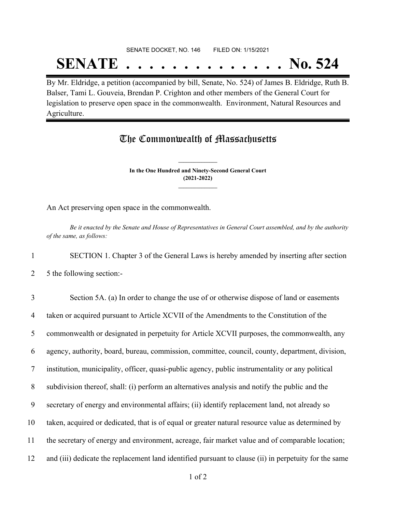## SENATE DOCKET, NO. 146 FILED ON: 1/15/2021 **SENATE . . . . . . . . . . . . . . No. 524**

By Mr. Eldridge, a petition (accompanied by bill, Senate, No. 524) of James B. Eldridge, Ruth B. Balser, Tami L. Gouveia, Brendan P. Crighton and other members of the General Court for legislation to preserve open space in the commonwealth. Environment, Natural Resources and Agriculture.

### The Commonwealth of Massachusetts

**In the One Hundred and Ninety-Second General Court (2021-2022) \_\_\_\_\_\_\_\_\_\_\_\_\_\_\_**

**\_\_\_\_\_\_\_\_\_\_\_\_\_\_\_**

An Act preserving open space in the commonwealth.

Be it enacted by the Senate and House of Representatives in General Court assembled, and by the authority *of the same, as follows:*

1 SECTION 1. Chapter 3 of the General Laws is hereby amended by inserting after section

2 5 the following section:-

 Section 5A. (a) In order to change the use of or otherwise dispose of land or easements taken or acquired pursuant to Article XCVII of the Amendments to the Constitution of the commonwealth or designated in perpetuity for Article XCVII purposes, the commonwealth, any agency, authority, board, bureau, commission, committee, council, county, department, division, institution, municipality, officer, quasi-public agency, public instrumentality or any political subdivision thereof, shall: (i) perform an alternatives analysis and notify the public and the secretary of energy and environmental affairs; (ii) identify replacement land, not already so taken, acquired or dedicated, that is of equal or greater natural resource value as determined by the secretary of energy and environment, acreage, fair market value and of comparable location; and (iii) dedicate the replacement land identified pursuant to clause (ii) in perpetuity for the same